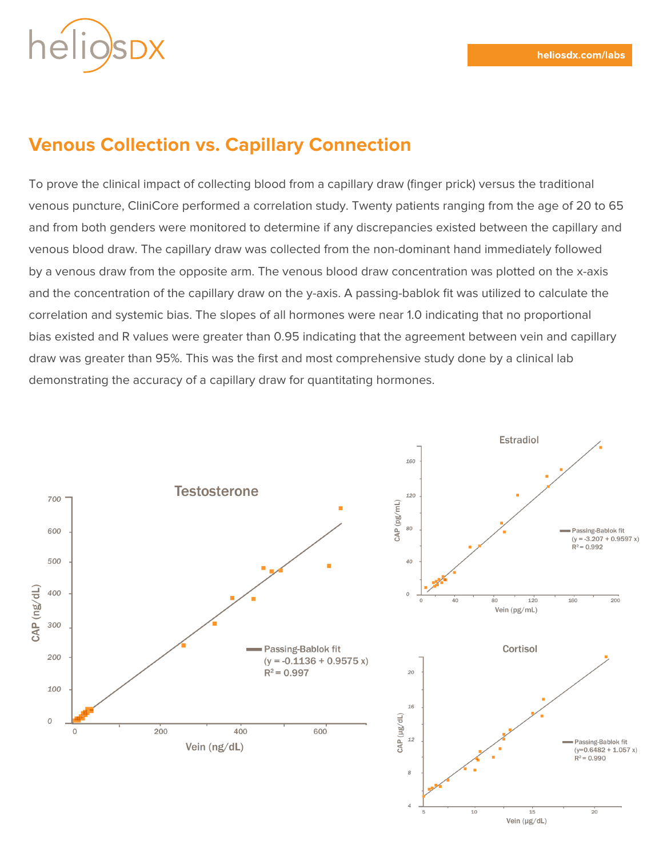

## **Venous Collection vs. Capillary Connection**

To prove the clinical impact of collecting blood from a capillary draw (finger prick) versus the traditional venous puncture, CliniCore performed a correlation study. Twenty patients ranging from the age of 20 to 65 and from both genders were monitored to determine if any discrepancies existed between the capillary and venous blood draw. The capillary draw was collected from the non-dominant hand immediately followed by a venous draw from the opposite arm. The venous blood draw concentration was plotted on the x-axis and the concentration of the capillary draw on the y-axis. A passing-bablok fit was utilized to calculate the correlation and systemic bias. The slopes of all hormones were near 1.0 indicating that no proportional bias existed and R values were greater than 0.95 indicating that the agreement between vein and capillary draw was greater than 95%. This was the first and most comprehensive study done by a clinical lab demonstrating the accuracy of a capillary draw for quantitating hormones.